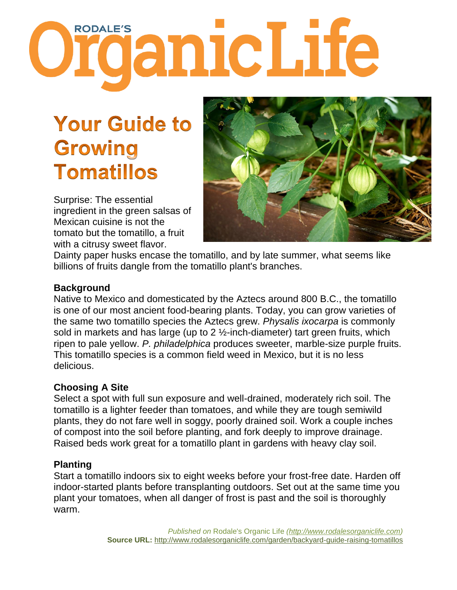# **Organic Life**

## **Your Guide to Growing Tomatillos**

Surprise: The essential ingredient in the green salsas of Mexican cuisine is not the tomato but the tomatillo, a fruit with a citrusy sweet flavor.



Dainty paper husks encase the tomatillo, and by late summer, what seems like billions of fruits dangle from the tomatillo plant's branches.

#### **Background**

Native to Mexico and domesticated by the Aztecs around 800 B.C., the tomatillo is one of our most ancient food-bearing plants. Today, you can grow varieties of the same two tomatillo species the Aztecs grew. *Physalis ixocarpa* is commonly sold in markets and has large (up to 2 ½-inch-diameter) tart green fruits, which ripen to pale yellow. *P. philadelphica* produces sweeter, marble-size purple fruits. This tomatillo species is a common field weed in Mexico, but it is no less delicious.

#### **Choosing A Site**

Select a spot with full sun exposure and well-drained, moderately rich soil. The tomatillo is a lighter feeder than tomatoes, and while they are tough semiwild plants, they do not fare well in soggy, poorly drained soil. Work a couple inches of compost into the soil before planting, and fork deeply to improve drainage. Raised beds work great for a tomatillo plant in gardens with heavy clay soil.

#### **Planting**

Start a tomatillo indoors six to eight weeks before your frost-free date. Harden off indoor-started plants before transplanting outdoors. Set out at the same time you plant your tomatoes, when all danger of frost is past and the soil is thoroughly warm.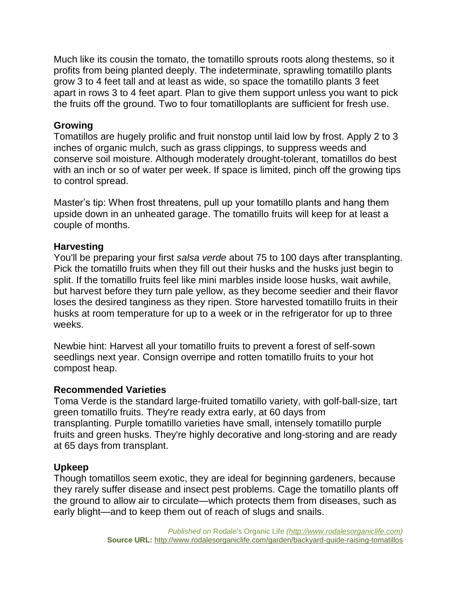Much like its cousin the tomato, the tomatillo sprouts roots along thestems, so it profits from being planted deeply. The indeterminate, sprawling tomatillo plants grow 3 to 4 feet tall and at least as wide, so space the tomatillo plants 3 feet apart in rows 3 to 4 feet apart. Plan to give them support unless you want to pick the fruits off the ground. Two to four tomatilloplants are sufficient for fresh use.

#### **Growing**

Tomatillos are hugely prolific and fruit nonstop until laid low by frost. Apply 2 to 3 inches of organic mulch, such as grass clippings, to suppress weeds and conserve soil moisture. Although moderately drought-tolerant, tomatillos do best with an inch or so of water per week. If space is limited, pinch off the growing tips to control spread.

Master's tip: When frost threatens, pull up your tomatillo plants and hang them upside down in an unheated garage. The tomatillo fruits will keep for at least a couple of months.

#### **Harvesting**

You'll be preparing your first *salsa verde* about 75 to 100 days after transplanting. Pick the tomatillo fruits when they fill out their husks and the husks just begin to split. If the tomatillo fruits feel like mini marbles inside loose husks, wait awhile, but harvest before they turn pale yellow, as they become seedier and their flavor loses the desired tanginess as they ripen. Store harvested tomatillo fruits in their husks at room temperature for up to a week or in the refrigerator for up to three weeks.

Newbie hint: Harvest all your tomatillo fruits to prevent a forest of self-sown seedlings next year. Consign overripe and rotten tomatillo fruits to your hot compost heap.

#### **Recommended Varieties**

Toma Verde is the standard large-fruited tomatillo variety, with golf-ball-size, tart green tomatillo fruits. They're ready extra early, at 60 days from transplanting. Purple tomatillo varieties have small, intensely tomatillo purple fruits and green husks. They're highly decorative and long-storing and are ready at 65 days from transplant.

#### **Upkeep**

Though tomatillos seem exotic, they are ideal for beginning gardeners, because they rarely suffer disease and insect pest problems. Cage the tomatillo plants off the ground to allow air to circulate—which protects them from diseases, such as early blight—and to keep them out of reach of slugs and snails.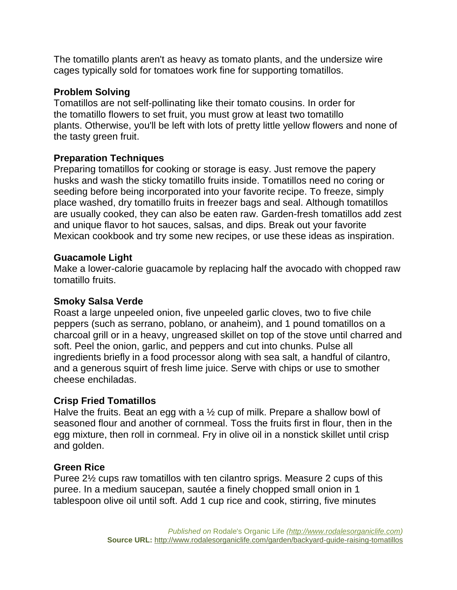The tomatillo plants aren't as heavy as tomato plants, and the undersize wire cages typically sold for tomatoes work fine for supporting tomatillos.

#### **Problem Solving**

Tomatillos are not self-pollinating like their tomato cousins. In order for the tomatillo flowers to set fruit, you must grow at least two tomatillo plants. Otherwise, you'll be left with lots of pretty little yellow flowers and none of the tasty green fruit.

#### **Preparation Techniques**

Preparing tomatillos for cooking or storage is easy. Just remove the papery husks and wash the sticky tomatillo fruits inside. Tomatillos need no coring or seeding before being incorporated into your favorite recipe. To freeze, simply place washed, dry tomatillo fruits in freezer bags and seal. Although tomatillos are usually cooked, they can also be eaten raw. Garden-fresh tomatillos add zest and unique flavor to hot sauces, salsas, and dips. Break out your favorite Mexican cookbook and try some new recipes, or use these ideas as inspiration.

#### **Guacamole Light**

Make a lower-calorie guacamole by replacing half the avocado with chopped raw tomatillo fruits.

#### **Smoky Salsa Verde**

Roast a large unpeeled onion, five unpeeled garlic cloves, two to five chile peppers (such as serrano, poblano, or anaheim), and 1 pound tomatillos on a charcoal grill or in a heavy, ungreased skillet on top of the stove until charred and soft. Peel the onion, garlic, and peppers and cut into chunks. Pulse all ingredients briefly in a food processor along with sea salt, a handful of cilantro, and a generous squirt of fresh lime juice. Serve with chips or use to smother cheese enchiladas.

#### **Crisp Fried Tomatillos**

Halve the fruits. Beat an egg with a ½ cup of milk. Prepare a shallow bowl of seasoned flour and another of cornmeal. Toss the fruits first in flour, then in the egg mixture, then roll in cornmeal. Fry in olive oil in a nonstick skillet until crisp and golden.

#### **Green Rice**

Puree 2½ cups raw tomatillos with ten cilantro sprigs. Measure 2 cups of this puree. In a medium saucepan, sautée a finely chopped small onion in 1 tablespoon olive oil until soft. Add 1 cup rice and cook, stirring, five minutes